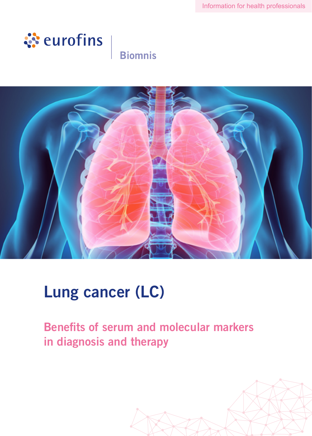

### **Biomnis**



# Lung cancer (LC)

Benefits of serum and molecular markers in diagnosis and therapy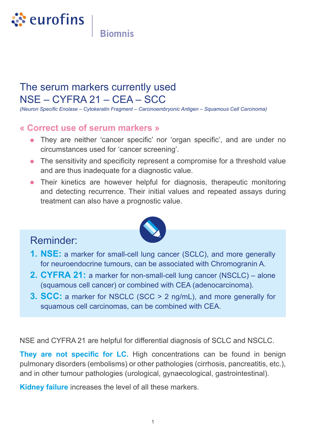

**Biomnis** 

### The serum markers currently used NSE – CYFRA 21 – CEA – SCC

*(Neuron Specific Enolase – Cytokeratin Fragment – Carcinoembryonic Antigen – Squamous Cell Carcinoma)*

#### **« Correct use of serum markers »**

- **•** They are neither 'cancer specific' nor 'organ specific', and are under no circumstances used for 'cancer screening'.
- **•** The sensitivity and specificity represent a compromise for a threshold value and are thus inadequate for a diagnostic value.
- **•** Their kinetics are however helpful for diagnosis, therapeutic monitoring and detecting recurrence. Their initial values and repeated assays during treatment can also have a prognostic value.



#### Reminder:

- **1. NSE:** a marker for small-cell lung cancer (SCLC), and more generally for neuroendocrine tumours, can be associated with Chromogranin A.
- **2. CYFRA 21:** a marker for non-small-cell lung cancer (NSCLC) alone (squamous cell cancer) or combined with CEA (adenocarcinoma).
- **3. SCC:** a marker for NSCLC (SCC > 2 ng/mL), and more generally for squamous cell carcinomas, can be combined with CEA.

NSE and CYFRA 21 are helpful for differential diagnosis of SCLC and NSCLC.

**They are not specific for LC.** High concentrations can be found in benign pulmonary disorders (embolisms) or other pathologies (cirrhosis, pancreatitis, etc.), and in other tumour pathologies (urological, gynaecological, gastrointestinal).

**Kidney failure** increases the level of all these markers.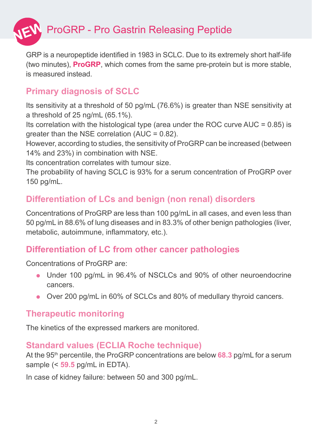

GRP is a neuropeptide identified in 1983 in SCLC. Due to its extremely short half-life (two minutes), **ProGRP**, which comes from the same pre-protein but is more stable, is measured instead.

#### **Primary diagnosis of SCLC**

Its sensitivity at a threshold of 50 pg/mL (76.6%) is greater than NSE sensitivity at a threshold of 25 ng/mL (65.1%).

Its correlation with the histological type (area under the ROC curve  $AUC = 0.85$ ) is greater than the NSE correlation (AUC = 0.82).

However, according to studies, the sensitivity of ProGRP can be increased (between 14% and 23%) in combination with NSE.

Its concentration correlates with tumour size.

The probability of having SCLC is 93% for a serum concentration of ProGRP over 150 pg/mL.

#### **Differentiation of LCs and benign (non renal) disorders**

Concentrations of ProGRP are less than 100 pg/mL in all cases, and even less than 50 pg/mL in 88.6% of lung diseases and in 83.3% of other benign pathologies (liver, metabolic, autoimmune, inflammatory, etc.).

#### **Differentiation of LC from other cancer pathologies**

Concentrations of ProGRP are:

- **•** Under 100 pg/mL in 96.4% of NSCLCs and 90% of other neuroendocrine cancers.
- **•** Over 200 pg/mL in 60% of SCLCs and 80% of medullary thyroid cancers.

#### **Therapeutic monitoring**

The kinetics of the expressed markers are monitored.

#### **Standard values (ECLIA Roche technique)**

At the 95th percentile, the ProGRP concentrations are below **68.3** pg/mL for a serum sample (< **59.5** pg/mL in EDTA).

In case of kidney failure: between 50 and 300 pg/mL.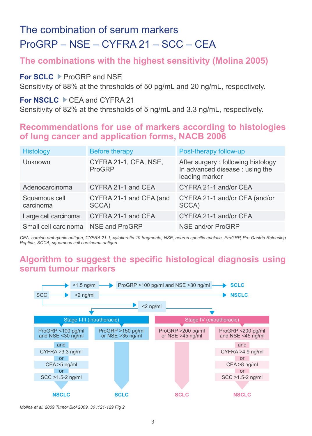### The combination of serum markers ProGRP – NSE – CYFRA 21 – SCC – CEA

#### **The combinations with the highest sensitivity (Molina 2005)**

#### **For SCLC** ProGRP and NSE

Sensitivity of 88% at the thresholds of 50 pg/mL and 20 ng/mL, respectively.

#### For NSCLC CEA and CYFRA 21

Sensitivity of 82% at the thresholds of 5 ng/mL and 3.3 ng/mL, respectively.

#### **Recommendations for use of markers according to histologies of lung cancer and application forms, NACB 2006**

| <b>Histology</b>           | <b>Before therapy</b>            | Post-therapy follow-up                                                                  |
|----------------------------|----------------------------------|-----------------------------------------------------------------------------------------|
| Unknown                    | CYFRA 21-1, CEA, NSE,<br>ProGRP  | After surgery: following histology<br>In advanced disease : using the<br>leading marker |
| Adenocarcinoma             | CYFRA 21-1 and CEA               | CYFRA 21-1 and/or CEA                                                                   |
| Squamous cell<br>carcinoma | CYFRA 21-1 and CEA (and<br>SCCA) | CYFRA 21-1 and/or CEA (and/or<br>SCCA)                                                  |
| Large cell carcinoma       | CYFRA 21-1 and CEA               | CYFRA 21-1 and/or CEA                                                                   |
| Small cell carcinoma       | NSE and ProGRP                   | NSE and/or ProGRP                                                                       |

*CEA, carcino embryonic antigen, CYFRA 21-1, cytokeratin 19 fragments, NSE, neuron specific enolase, ProGRP, Pro Gastrin Releasing Peptide, SCCA, squamous cell carcinoma antigen*

#### **Algorithm to suggest the specific histological diagnosis using serum tumour markers**



*Molina et al. 2009 Tumor Biol 2009, 30 :121-129 Fig 2*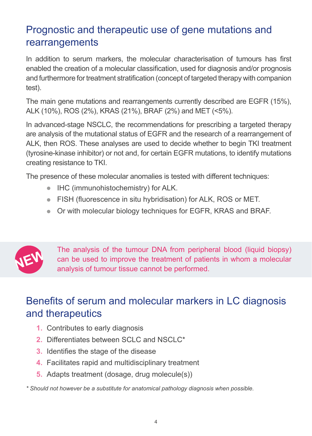### Prognostic and therapeutic use of gene mutations and rearrangements

In addition to serum markers, the molecular characterisation of tumours has first enabled the creation of a molecular classification, used for diagnosis and/or prognosis and furthermore for treatment stratification (concept of targeted therapy with companion test).

The main gene mutations and rearrangements currently described are EGFR (15%), ALK (10%), ROS (2%), KRAS (21%), BRAF (2%) and MET (<5%).

In advanced-stage NSCLC, the recommendations for prescribing a targeted therapy are analysis of the mutational status of EGFR and the research of a rearrangement of ALK, then ROS. These analyses are used to decide whether to begin TKI treatment (tyrosine-kinase inhibitor) or not and, for certain EGFR mutations, to identify mutations creating resistance to TKI.

The presence of these molecular anomalies is tested with different techniques:

- **•** IHC (immunohistochemistry) for ALK.
- **•** FISH (fluorescence in situ hybridisation) for ALK, ROS or MET.
- **•** Or with molecular biology techniques for EGFR, KRAS and BRAF.



The analysis of the tumour DNA from peripheral blood (liquid biopsy) can be used to improve the treatment of patients in whom a molecular analysis of tumour tissue cannot be performed.

### Benefits of serum and molecular markers in LC diagnosis and therapeutics

- **1.** Contributes to early diagnosis
- **2.** Differentiates between SCLC and NSCLC\*
- **3.** Identifies the stage of the disease
- **4.** Facilitates rapid and multidisciplinary treatment
- **5.** Adapts treatment (dosage, drug molecule(s))

*\* Should not however be a substitute for anatomical pathology diagnosis when possible.*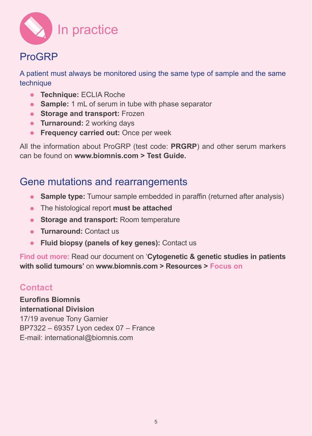

### ProGRP

A patient must always be monitored using the same type of sample and the same technique

- **• Technique:** ECLIA Roche
- **• Sample:** 1 mL of serum in tube with phase separator
- **• Storage and transport:** Frozen
- **• Turnaround:** 2 working days
- **• Frequency carried out:** Once per week

All the information about ProGRP (test code: **PRGRP**) and other serum markers can be found on **www.biomnis.com > Test Guide.**

### Gene mutations and rearrangements

- **• Sample type:** Tumour sample embedded in paraffin (returned after analysis)
- **•** The histological report **must be attached**
- **• Storage and transport:** Room temperature
- **• Turnaround:** Contact us
- **• Fluid biopsy (panels of key genes):** Contact us

**Find out more:** Read our document on '**Cytogenetic & genetic studies in patients with solid tumours'** on **www.biomnis.com > Resources > Focus on**

#### **Contact**

**Eurofins Biomnis international Division** 17/19 avenue Tony Garnier BP7322 – 69357 Lyon cedex 07 – France E-mail: international@biomnis.com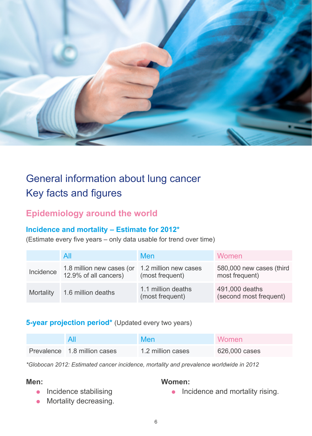

## General information about lung cancer Key facts and figures

#### **Epidemiology around the world**

#### **Incidence and mortality – Estimate for 2012\***

(Estimate every five years – only data usable for trend over time)

|           | All                                                                      | Men                                   | Women                                      |
|-----------|--------------------------------------------------------------------------|---------------------------------------|--------------------------------------------|
| Incidence | 1.8 million new cases (or 1.2 million new cases<br>12.9% of all cancers) | (most frequent)                       | 580,000 new cases (third<br>most frequent) |
| Mortality | 1.6 million deaths                                                       | 1.1 million deaths<br>(most frequent) | 491,000 deaths<br>(second most frequent)   |

#### **5-year projection period**\* (Updated every two years)

|                              | <b>Men</b>        | <b>Women</b>  |
|------------------------------|-------------------|---------------|
| Prevalence 1.8 million cases | 1.2 million cases | 626,000 cases |

*\*Globocan 2012: Estimated cancer incidence, mortality and prevalence worldwide in 2012*

#### **Men:**

#### **Women:**

- **•** Incidence stabilising
- **•** Mortality decreasing.

• Incidence and mortality rising.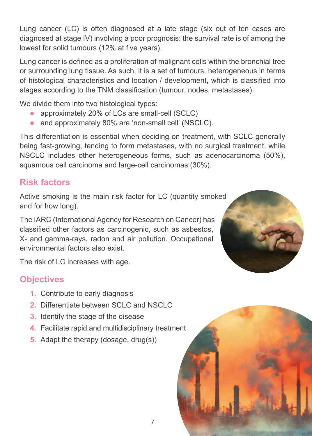Lung cancer (LC) is often diagnosed at a late stage (six out of ten cases are diagnosed at stage IV) involving a poor prognosis: the survival rate is of among the lowest for solid tumours (12% at five years).

Lung cancer is defined as a proliferation of malignant cells within the bronchial tree or surrounding lung tissue. As such, it is a set of tumours, heterogeneous in terms of histological characteristics and location / development, which is classified into stages according to the TNM classification (tumour, nodes, metastases).

We divide them into two histological types:

- approximately 20% of LCs are small-cell (SCLC)<br>• and approximately 80% are 'non-small cell' (NSC
- **•** and approximately 80% are 'non-small cell' (NSCLC).

This differentiation is essential when deciding on treatment, with SCLC generally being fast-growing, tending to form metastases, with no surgical treatment, while NSCLC includes other heterogeneous forms, such as adenocarcinoma (50%), squamous cell carcinoma and large-cell carcinomas (30%).

7

### **Risk factors**

Active smoking is the main risk factor for LC (quantity smoked and for how long).

The IARC (International Agency for Research on Cancer) has classified other factors as carcinogenic, such as asbestos, X- and gamma-rays, radon and air pollution. Occupational environmental factors also exist.



The risk of LC increases with age.

#### **Objectives**

- **1.** Contribute to early diagnosis
- **2.** Differentiate between SCLC and NSCLC
- **3.** Identify the stage of the disease
- **4.** Facilitate rapid and multidisciplinary treatment
- **5.** Adapt the therapy (dosage, drug(s))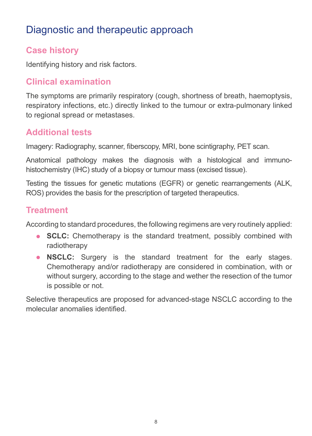### Diagnostic and therapeutic approach

#### **Case history**

Identifying history and risk factors.

#### **Clinical examination**

The symptoms are primarily respiratory (cough, shortness of breath, haemoptysis, respiratory infections, etc.) directly linked to the tumour or extra-pulmonary linked to regional spread or metastases.

#### **Additional tests**

Imagery: Radiography, scanner, fiberscopy, MRI, bone scintigraphy, PET scan.

Anatomical pathology makes the diagnosis with a histological and immunohistochemistry (IHC) study of a biopsy or tumour mass (excised tissue).

Testing the tissues for genetic mutations (EGFR) or genetic rearrangements (ALK, ROS) provides the basis for the prescription of targeted therapeutics.

#### **Treatment**

According to standard procedures, the following regimens are very routinely applied:

- **• SCLC:** Chemotherapy is the standard treatment, possibly combined with radiotherapy
- **• NSCLC:** Surgery is the standard treatment for the early stages. Chemotherapy and/or radiotherapy are considered in combination, with or without surgery, according to the stage and wether the resection of the tumor is possible or not.

Selective therapeutics are proposed for advanced-stage NSCLC according to the molecular anomalies identified.